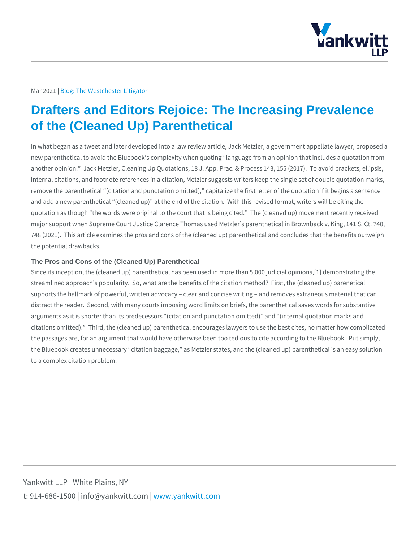## Mar 2021bg: The Westchester Litigator

## Drafters and Editors Rejoice: The Increasing Prevalence of the (Cleaned Up) Parenthetical

In what began as a tweet and later developed into a law review article, Jack Met new parenthetical to avoid the Bluebook s complexity when quoting language from another opinion. Jack Metzler, Cleaning Up Quotations, 18 J. App. Prac. & Proc internal citations, and footnote references in a citation, Metzler suggests writers remove the parenthetical (citation and punctation omitted), capitalize the first and add a new parenthetical (cleaned up) at the end of the citation. With this quotation as though the words were original to the court that is being cited. T major support when Supreme Court Justice Clarence Thomas used Metzler s pare 748 (2021). This article examines the pros and cons of the (cleaned up) parenth the potential drawbacks.

## The Pros and Cons of the (Cleaned Up) Parenthetical

Since its inception, the (cleaned up) parenthetical has been used in more than 5 streamlined approach s popularity. So, what are the benefits of the citation met supports the hallmark of powerful, written advocacy clear and concise writing distract the reader. Second, with many courts imposing word limits on briefs, th arguments as it is shorter than its predecessors (citation and punctation omitted citations omitted). Third, the (cleaned up) parenthetical encourages lawyers to the passages are, for an argument that would have otherwise been too tedious to the Bluebook creates unnecessary citation baggage, as Metzler states, and the to a complex citation problem.

Yankwitt LLP | White Plains, NY t:  $914 - 686 - 1500$  | info@y wawn ky wom intit wo interport on